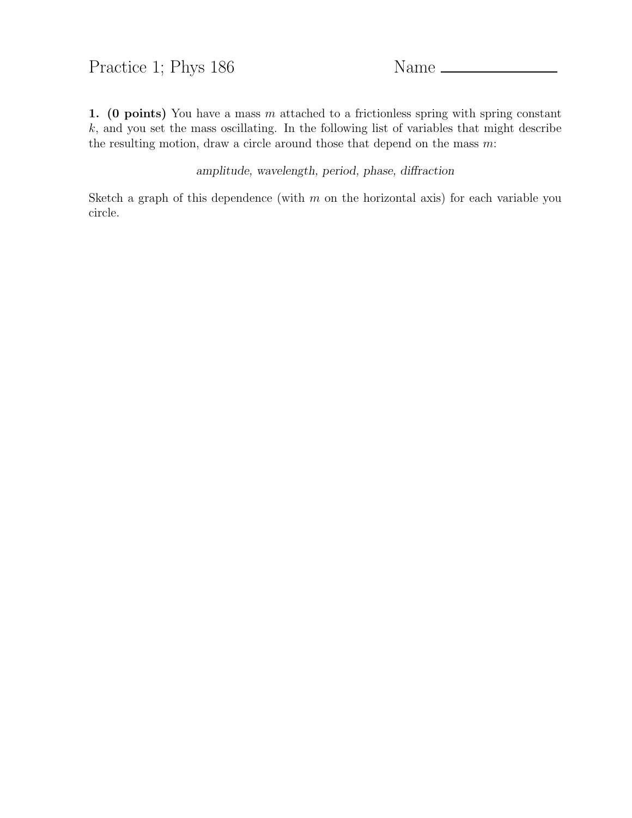## Practice 1; Phys 186 Name

1. (0 points) You have a mass  $m$  attached to a frictionless spring with spring constant  $k$ , and you set the mass oscillating. In the following list of variables that might describe the resulting motion, draw a circle around those that depend on the mass  $m$ :

amplitude, wavelength, period, phase, diffraction

Sketch a graph of this dependence (with  $m$  on the horizontal axis) for each variable you circle.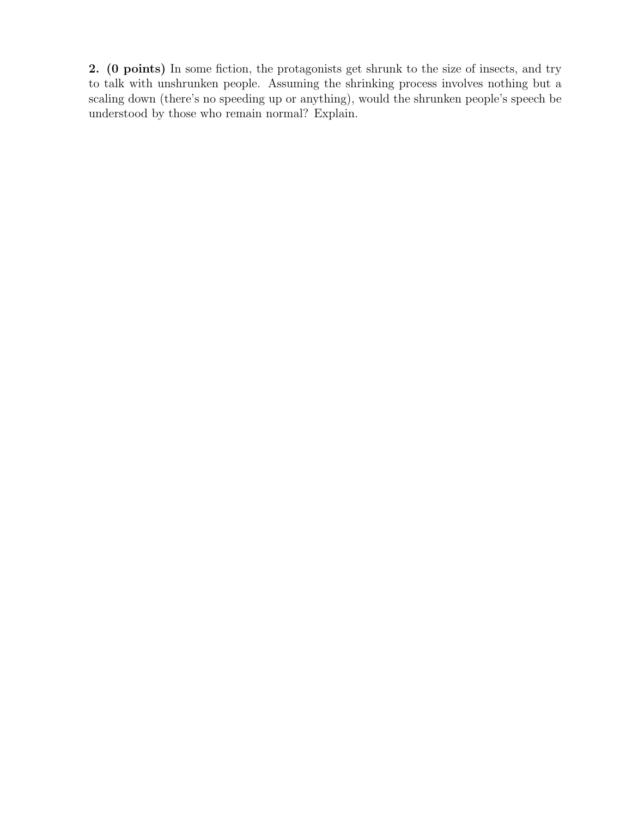2. (0 points) In some fiction, the protagonists get shrunk to the size of insects, and try to talk with unshrunken people. Assuming the shrinking process involves nothing but a scaling down (there's no speeding up or anything), would the shrunken people's speech be understood by those who remain normal? Explain.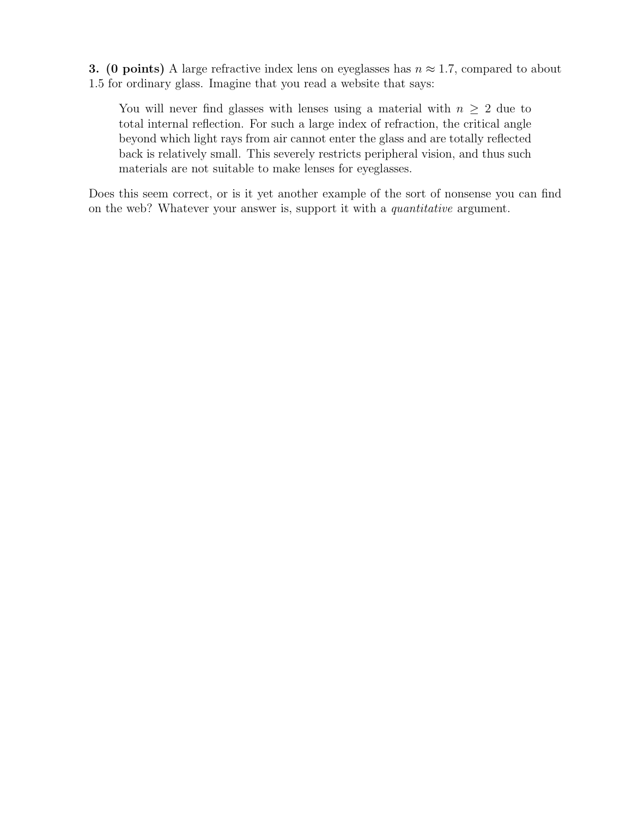**3.** (0 points) A large refractive index lens on eyeglasses has  $n \approx 1.7$ , compared to about 1.5 for ordinary glass. Imagine that you read a website that says:

You will never find glasses with lenses using a material with  $n \geq 2$  due to total internal reflection. For such a large index of refraction, the critical angle beyond which light rays from air cannot enter the glass and are totally reflected back is relatively small. This severely restricts peripheral vision, and thus such materials are not suitable to make lenses for eyeglasses.

Does this seem correct, or is it yet another example of the sort of nonsense you can find on the web? Whatever your answer is, support it with a *quantitative* argument.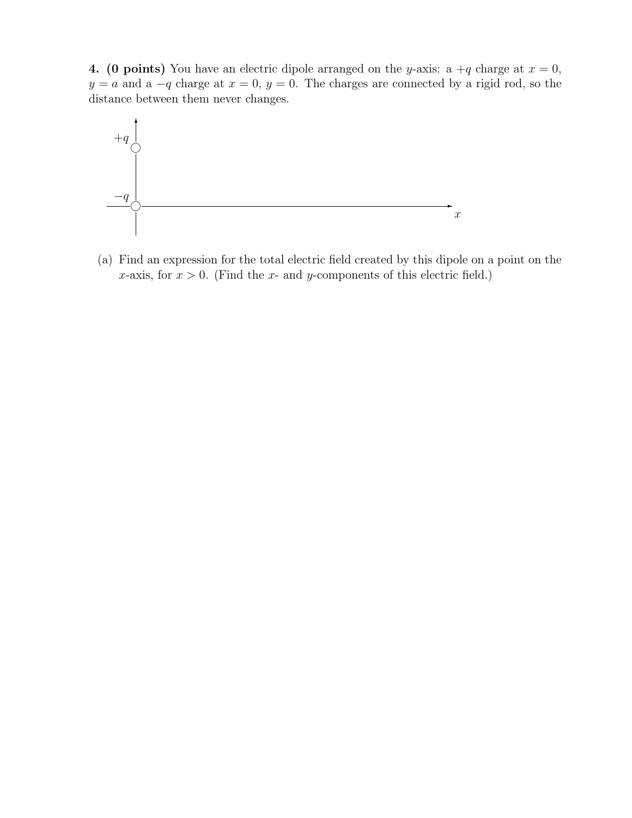4. (0 points) You have an electric dipole arranged on the y-axis: a  $+q$  charge at  $x = 0$ ,  $y = a$  and a  $-q$  charge at  $x = 0$ ,  $y = 0$ . The charges are connected by a rigid rod, so the distance between them never changes.



(a) Find an expression for the total electric field created by this dipole on a point on the x-axis, for  $x > 0$ . (Find the x- and y-components of this electric field.)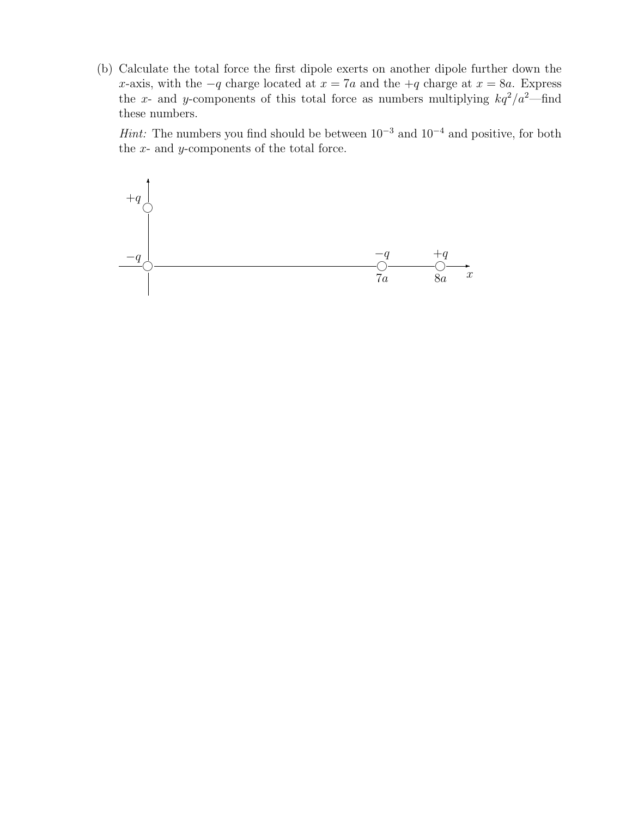(b) Calculate the total force the first dipole exerts on another dipole further down the x-axis, with the  $-q$  charge located at  $x = 7a$  and the  $+q$  charge at  $x = 8a$ . Express the x- and y-components of this total force as numbers multiplying  $kq^2/a^2$ —find these numbers.

Hint: The numbers you find should be between  $10^{-3}$  and  $10^{-4}$  and positive, for both the  $x$ - and  $y$ -components of the total force.